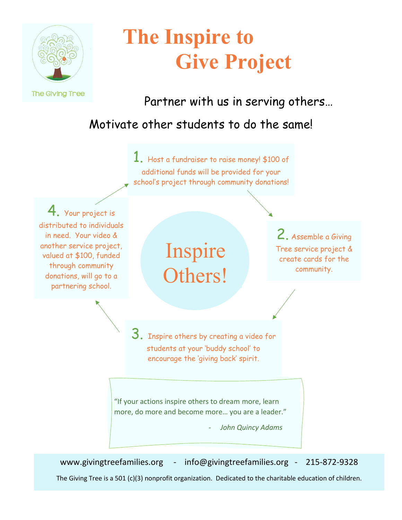

# **The Inspire to Give Project**

Partner with us in serving others…

#### Motivate other students to do the same!



www.givingtreefamilies.org - info@givingtreefamilies.org - 215-872-9328

The Giving Tree is a 501 (c)(3) nonprofit organization. Dedicated to the charitable education of children.